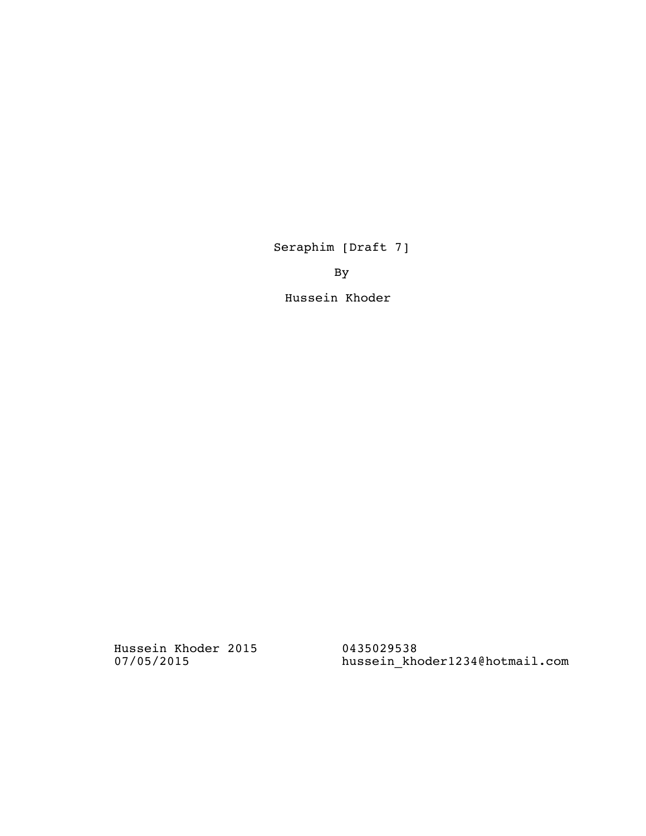Seraphim [Draft 7]

By

Hussein Khoder

Hussein Khoder 2015 07/05/2015

0435029538 hussein\_khoder1234@hotmail.com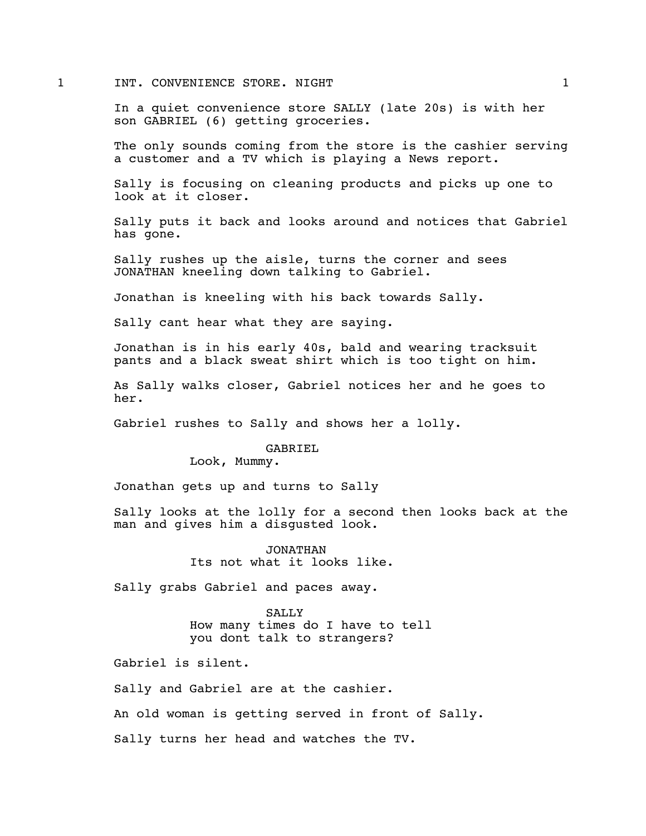### 1 INT. CONVENIENCE STORE. NIGHT 1

In a quiet convenience store SALLY (late 20s) is with her son GABRIEL (6) getting groceries.

The only sounds coming from the store is the cashier serving a customer and a TV which is playing a News report.

Sally is focusing on cleaning products and picks up one to look at it closer.

Sally puts it back and looks around and notices that Gabriel has gone.

Sally rushes up the aisle, turns the corner and sees JONATHAN kneeling down talking to Gabriel.

Jonathan is kneeling with his back towards Sally.

Sally cant hear what they are saying.

Jonathan is in his early 40s, bald and wearing tracksuit pants and a black sweat shirt which is too tight on him.

As Sally walks closer, Gabriel notices her and he goes to her.

Gabriel rushes to Sally and shows her a lolly.

GABRIEL

Look, Mummy.

Jonathan gets up and turns to Sally

Sally looks at the lolly for a second then looks back at the man and gives him a disgusted look.

> JONATHAN Its not what it looks like.

Sally grabs Gabriel and paces away.

SALLY How many times do I have to tell you dont talk to strangers?

Gabriel is silent.

Sally and Gabriel are at the cashier.

An old woman is getting served in front of Sally.

Sally turns her head and watches the TV.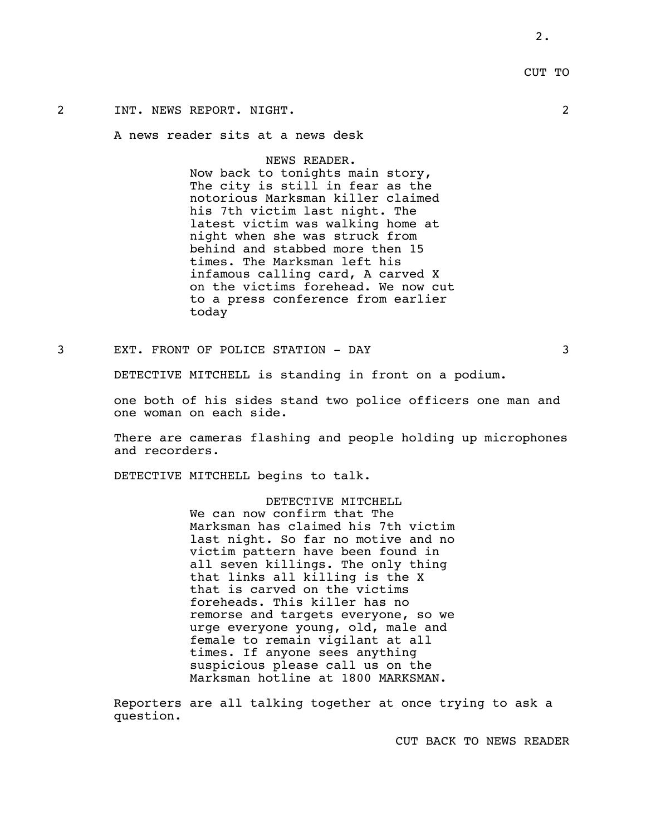# CUT TO

# 2 INT. NEWS REPORT. NIGHT. 2

A news reader sits at a news desk

NEWS READER.

Now back to tonights main story, The city is still in fear as the notorious Marksman killer claimed his 7th victim last night. The latest victim was walking home at night when she was struck from behind and stabbed more then 15 times. The Marksman left his infamous calling card, A carved X on the victims forehead. We now cut to a press conference from earlier today

3 EXT. FRONT OF POLICE STATION - DAY 3

DETECTIVE MITCHELL is standing in front on a podium.

one both of his sides stand two police officers one man and one woman on each side.

There are cameras flashing and people holding up microphones and recorders.

DETECTIVE MITCHELL begins to talk.

DETECTIVE MITCHELL We can now confirm that The Marksman has claimed his 7th victim last night. So far no motive and no victim pattern have been found in all seven killings. The only thing that links all killing is the X that is carved on the victims foreheads. This killer has no remorse and targets everyone, so we urge everyone young, old, male and female to remain vigilant at all times. If anyone sees anything suspicious please call us on the Marksman hotline at 1800 MARKSMAN.

Reporters are all talking together at once trying to ask a question.

CUT BACK TO NEWS READER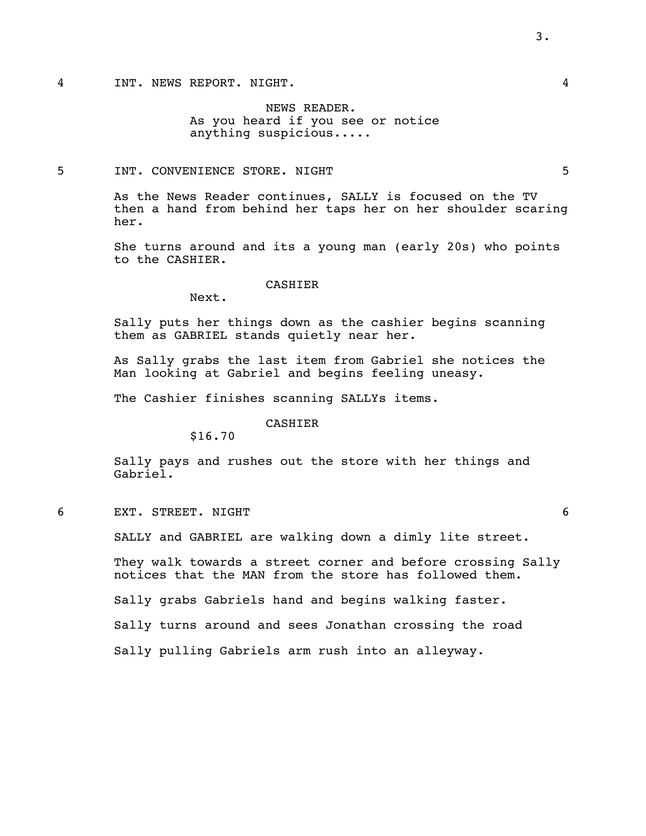NEWS READER. As you heard if you see or notice anything suspicious.....

## 5 INT. CONVENIENCE STORE. NIGHT 5

As the News Reader continues, SALLY is focused on the TV then a hand from behind her taps her on her shoulder scaring her.

She turns around and its a young man (early 20s) who points to the CASHIER.

#### CASHIER

Next.

Sally puts her things down as the cashier begins scanning them as GABRIEL stands quietly near her.

As Sally grabs the last item from Gabriel she notices the Man looking at Gabriel and begins feeling uneasy.

The Cashier finishes scanning SALLYs items.

### CASHIER

\$16.70

Sally pays and rushes out the store with her things and Gabriel.

6 EXT. STREET. NIGHT 6

SALLY and GABRIEL are walking down a dimly lite street.

They walk towards a street corner and before crossing Sally notices that the MAN from the store has followed them.

Sally grabs Gabriels hand and begins walking faster.

Sally turns around and sees Jonathan crossing the road

Sally pulling Gabriels arm rush into an alleyway.

3.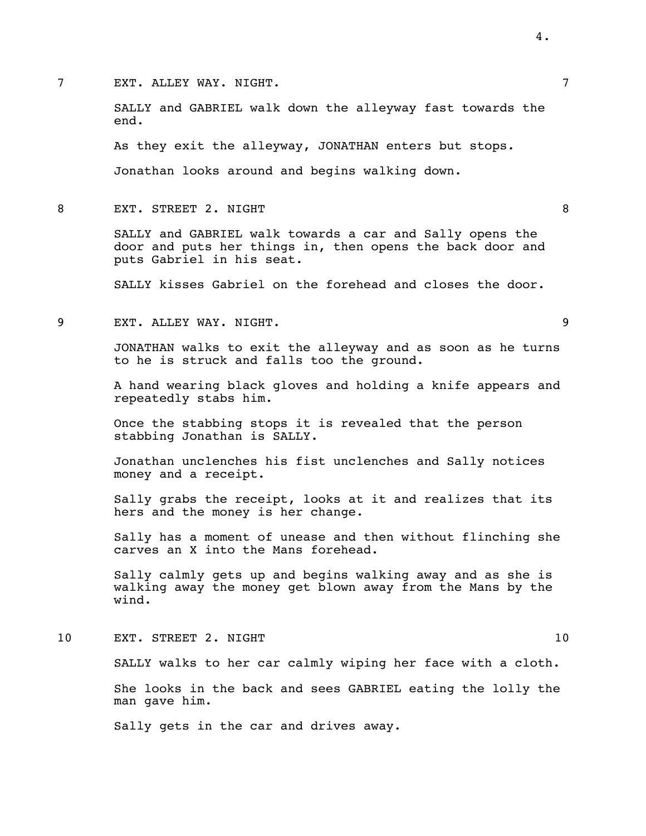7 EXT. ALLEY WAY. NIGHT. 7

SALLY and GABRIEL walk down the alleyway fast towards the end.

As they exit the alleyway, JONATHAN enters but stops.

Jonathan looks around and begins walking down.

8 EXT. STREET 2. NIGHT 8

SALLY and GABRIEL walk towards a car and Sally opens the door and puts her things in, then opens the back door and puts Gabriel in his seat.

SALLY kisses Gabriel on the forehead and closes the door.

9 EXT. ALLEY WAY. NIGHT. 9

JONATHAN walks to exit the alleyway and as soon as he turns to he is struck and falls too the ground.

A hand wearing black gloves and holding a knife appears and repeatedly stabs him.

Once the stabbing stops it is revealed that the person stabbing Jonathan is SALLY.

Jonathan unclenches his fist unclenches and Sally notices money and a receipt.

Sally grabs the receipt, looks at it and realizes that its hers and the money is her change.

Sally has a moment of unease and then without flinching she carves an X into the Mans forehead.

Sally calmly gets up and begins walking away and as she is walking away the money get blown away from the Mans by the wind.

10 EXT. STREET 2. NIGHT 10

SALLY walks to her car calmly wiping her face with a cloth.

She looks in the back and sees GABRIEL eating the lolly the man gave him.

Sally gets in the car and drives away.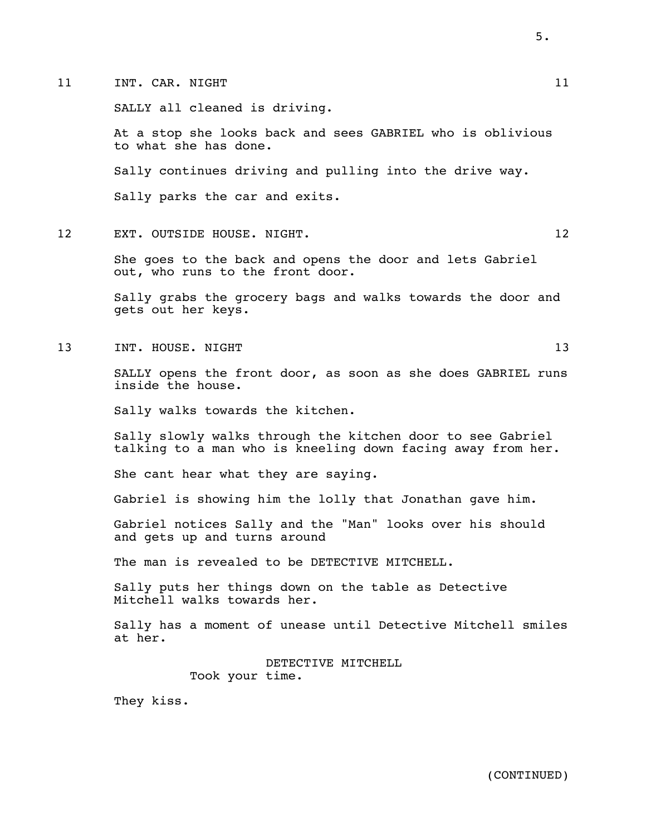11 INT. CAR. NIGHT 11 21

SALLY all cleaned is driving.

At a stop she looks back and sees GABRIEL who is oblivious to what she has done.

Sally continues driving and pulling into the drive way.

Sally parks the car and exits.

12 EXT. OUTSIDE HOUSE. NIGHT. 12

She goes to the back and opens the door and lets Gabriel out, who runs to the front door.

Sally grabs the grocery bags and walks towards the door and gets out her keys.

13 INT. HOUSE. NIGHT 13 2000 13

SALLY opens the front door, as soon as she does GABRIEL runs inside the house.

Sally walks towards the kitchen.

Sally slowly walks through the kitchen door to see Gabriel talking to a man who is kneeling down facing away from her.

She cant hear what they are saying.

Gabriel is showing him the lolly that Jonathan gave him.

Gabriel notices Sally and the "Man" looks over his should and gets up and turns around

The man is revealed to be DETECTIVE MITCHELL.

Sally puts her things down on the table as Detective Mitchell walks towards her.

Sally has a moment of unease until Detective Mitchell smiles at her.

> DETECTIVE MITCHELL Took your time.

They kiss.